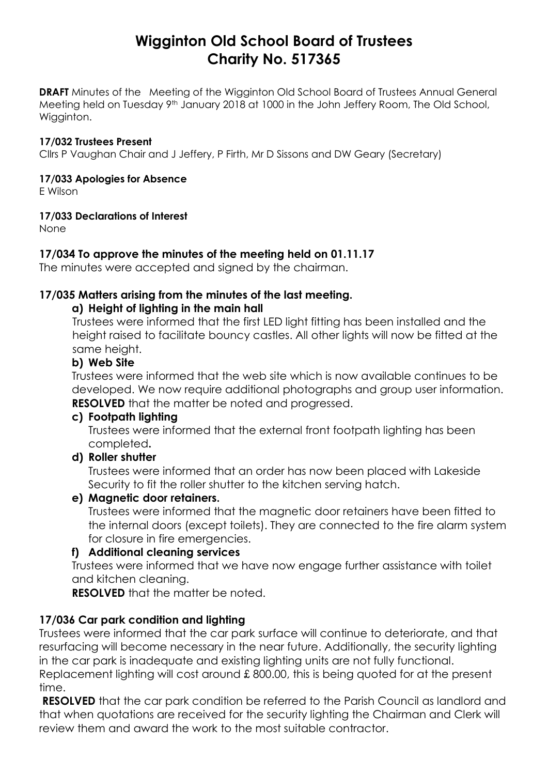# **Wigginton Old School Board of Trustees Charity No. 517365**

**DRAFT** Minutes of the Meeting of the Wigginton Old School Board of Trustees Annual General Meeting held on Tuesday 9<sup>th</sup> January 2018 at 1000 in the John Jeffery Room, The Old School, Wigginton.

#### **17/032 Trustees Present**

Cllrs P Vaughan Chair and J Jeffery, P Firth, Mr D Sissons and DW Geary (Secretary)

#### **17/033 Apologies for Absence**

E Wilson

#### **17/033 Declarations of Interest**

None

# **17/034 To approve the minutes of the meeting held on 01.11.17**

The minutes were accepted and signed by the chairman.

# **17/035 Matters arising from the minutes of the last meeting.**

# **a) Height of lighting in the main hall**

Trustees were informed that the first LED light fitting has been installed and the height raised to facilitate bouncy castles. All other lights will now be fitted at the same height.

#### **b) Web Site**

Trustees were informed that the web site which is now available continues to be developed. We now require additional photographs and group user information. **RESOLVED** that the matter be noted and progressed.

# **c) Footpath lighting**

Trustees were informed that the external front footpath lighting has been completed**.**

# **d) Roller shutter**

Trustees were informed that an order has now been placed with Lakeside Security to fit the roller shutter to the kitchen serving hatch.

# **e) Magnetic door retainers.**

Trustees were informed that the magnetic door retainers have been fitted to the internal doors (except toilets). They are connected to the fire alarm system for closure in fire emergencies.

# **f) Additional cleaning services**

Trustees were informed that we have now engage further assistance with toilet and kitchen cleaning.

**RESOLVED** that the matter be noted.

# **17/036 Car park condition and lighting**

Trustees were informed that the car park surface will continue to deteriorate, and that resurfacing will become necessary in the near future. Additionally, the security lighting in the car park is inadequate and existing lighting units are not fully functional. Replacement lighting will cost around £ 800.00, this is being quoted for at the present time.

**RESOLVED** that the car park condition be referred to the Parish Council as landlord and that when quotations are received for the security lighting the Chairman and Clerk will review them and award the work to the most suitable contractor.